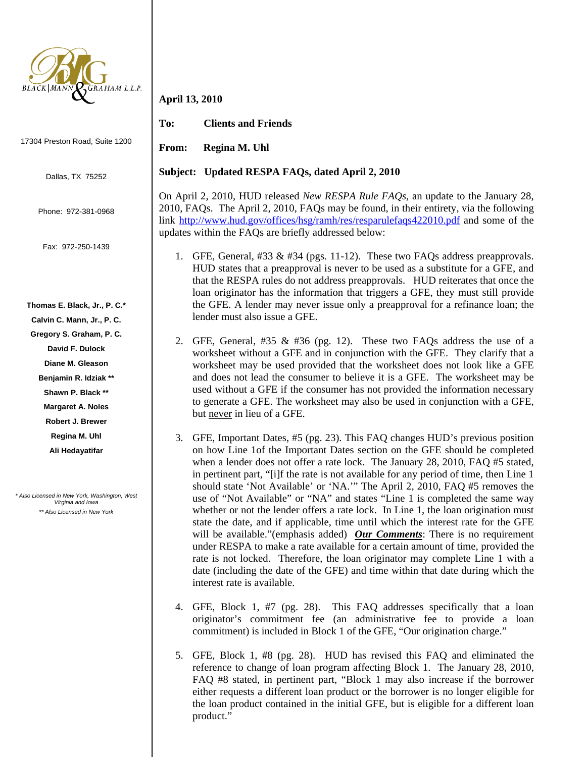

17304 Preston Road, Suite 1200

Dallas, TX 75252

Phone: 972-381-0968

Fax: 972-250-1439

**Thomas E. Black, Jr., P. C.\*** 

**Calvin C. Mann, Jr., P. C.** 

**Gregory S. Graham, P. C.** 

**David F. Dulock** 

**Diane M. Gleason** 

**Benjamin R. Idziak \*\*** 

**Shawn P. Black \*\*** 

**Margaret A. Noles Robert J. Brewer** 

**Regina M. Uhl** 

**Ali Hedayatifar** 

*\* Also Licensed in New York, Washington, West Virginia and Iowa \*\* Also Licensed in New York* 

## **April 13, 2010**

**To: Clients and Friends** 

**From: Regina M. Uhl** 

## **Subject: Updated RESPA FAQs, dated April 2, 2010**

On April 2, 2010, HUD released *New RESPA Rule FAQs*, an update to the January 28, 2010, FAQs. The April 2, 2010, FAQs may be found, in their entirety, via the following link http://www.hud.gov/offices/hsg/ramh/res/resparulefaqs422010.pdf and some of the updates within the FAQs are briefly addressed below:

- 1. GFE, General, #33 & #34 (pgs. 11-12). These two FAQs address preapprovals. HUD states that a preapproval is never to be used as a substitute for a GFE, and that the RESPA rules do not address preapprovals. HUD reiterates that once the loan originator has the information that triggers a GFE, they must still provide the GFE. A lender may never issue only a preapproval for a refinance loan; the lender must also issue a GFE.
- 2. GFE, General, #35 & #36 (pg. 12). These two FAQs address the use of a worksheet without a GFE and in conjunction with the GFE. They clarify that a worksheet may be used provided that the worksheet does not look like a GFE and does not lead the consumer to believe it is a GFE. The worksheet may be used without a GFE if the consumer has not provided the information necessary to generate a GFE. The worksheet may also be used in conjunction with a GFE, but never in lieu of a GFE.
- 3. GFE, Important Dates, #5 (pg. 23). This FAQ changes HUD's previous position on how Line 1of the Important Dates section on the GFE should be completed when a lender does not offer a rate lock. The January 28, 2010, FAQ #5 stated, in pertinent part, "[i]f the rate is not available for any period of time, then Line 1 should state 'Not Available' or 'NA.'" The April 2, 2010, FAQ #5 removes the use of "Not Available" or "NA" and states "Line 1 is completed the same way whether or not the lender offers a rate lock. In Line 1, the loan origination must state the date, and if applicable, time until which the interest rate for the GFE will be available."(emphasis added) *Our Comments*: There is no requirement under RESPA to make a rate available for a certain amount of time, provided the rate is not locked. Therefore, the loan originator may complete Line 1 with a date (including the date of the GFE) and time within that date during which the interest rate is available.
- 4. GFE, Block 1, #7 (pg. 28). This FAQ addresses specifically that a loan originator's commitment fee (an administrative fee to provide a loan commitment) is included in Block 1 of the GFE, "Our origination charge."
- 5. GFE, Block 1, #8 (pg. 28). HUD has revised this FAQ and eliminated the reference to change of loan program affecting Block 1. The January 28, 2010, FAQ #8 stated, in pertinent part, "Block 1 may also increase if the borrower either requests a different loan product or the borrower is no longer eligible for the loan product contained in the initial GFE, but is eligible for a different loan product."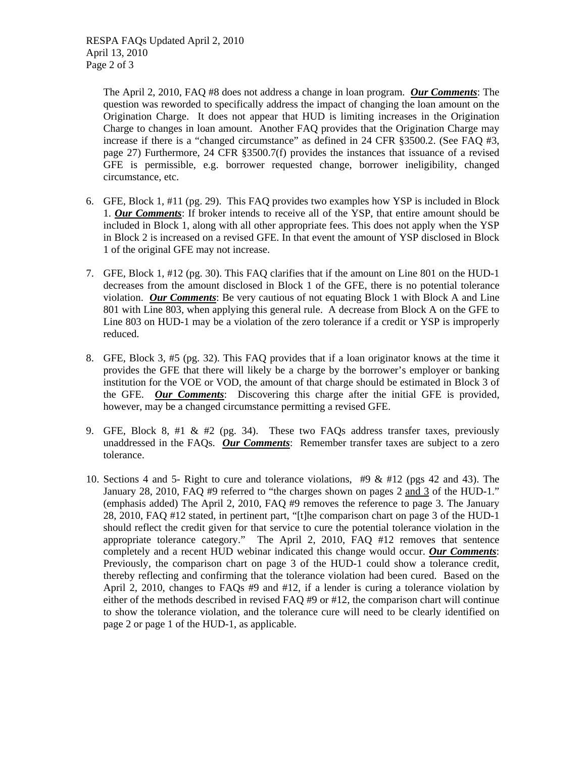RESPA FAQs Updated April 2, 2010 April 13, 2010 Page 2 of 3

> The April 2, 2010, FAQ #8 does not address a change in loan program. *Our Comments*: The question was reworded to specifically address the impact of changing the loan amount on the Origination Charge. It does not appear that HUD is limiting increases in the Origination Charge to changes in loan amount. Another FAQ provides that the Origination Charge may increase if there is a "changed circumstance" as defined in 24 CFR §3500.2. (See FAQ #3, page 27) Furthermore, 24 CFR §3500.7(f) provides the instances that issuance of a revised GFE is permissible, e.g. borrower requested change, borrower ineligibility, changed circumstance, etc.

- 6. GFE, Block 1, #11 (pg. 29). This FAQ provides two examples how YSP is included in Block 1. *Our Comments*: If broker intends to receive all of the YSP, that entire amount should be included in Block 1, along with all other appropriate fees. This does not apply when the YSP in Block 2 is increased on a revised GFE. In that event the amount of YSP disclosed in Block 1 of the original GFE may not increase.
- 7. GFE, Block 1, #12 (pg. 30). This FAQ clarifies that if the amount on Line 801 on the HUD-1 decreases from the amount disclosed in Block 1 of the GFE, there is no potential tolerance violation. *Our Comments*: Be very cautious of not equating Block 1 with Block A and Line 801 with Line 803, when applying this general rule. A decrease from Block A on the GFE to Line 803 on HUD-1 may be a violation of the zero tolerance if a credit or YSP is improperly reduced.
- 8. GFE, Block 3, #5 (pg. 32). This FAQ provides that if a loan originator knows at the time it provides the GFE that there will likely be a charge by the borrower's employer or banking institution for the VOE or VOD, the amount of that charge should be estimated in Block 3 of the GFE. *Our Comments*: Discovering this charge after the initial GFE is provided, however, may be a changed circumstance permitting a revised GFE.
- 9. GFE, Block 8, #1 & #2 (pg. 34). These two FAQs address transfer taxes, previously unaddressed in the FAQs. *Our Comments*: Remember transfer taxes are subject to a zero tolerance.
- 10. Sections 4 and 5- Right to cure and tolerance violations, #9 & #12 (pgs 42 and 43). The January 28, 2010, FAQ #9 referred to "the charges shown on pages 2 and 3 of the HUD-1." (emphasis added) The April 2, 2010, FAQ #9 removes the reference to page 3. The January 28, 2010, FAQ #12 stated, in pertinent part, "[t]he comparison chart on page 3 of the HUD-1 should reflect the credit given for that service to cure the potential tolerance violation in the appropriate tolerance category." The April 2, 2010, FAQ #12 removes that sentence completely and a recent HUD webinar indicated this change would occur. *Our Comments*: Previously, the comparison chart on page 3 of the HUD-1 could show a tolerance credit, thereby reflecting and confirming that the tolerance violation had been cured. Based on the April 2, 2010, changes to FAQs #9 and #12, if a lender is curing a tolerance violation by either of the methods described in revised FAQ #9 or #12, the comparison chart will continue to show the tolerance violation, and the tolerance cure will need to be clearly identified on page 2 or page 1 of the HUD-1, as applicable.